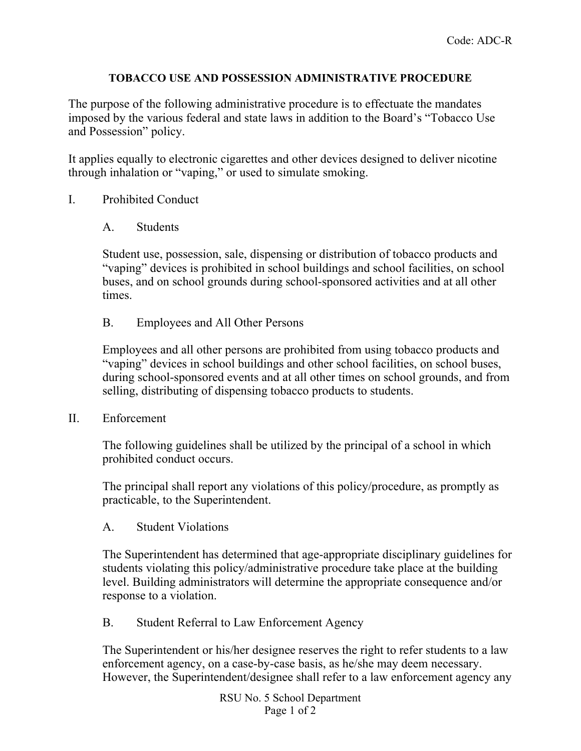## **TOBACCO USE AND POSSESSION ADMINISTRATIVE PROCEDURE**

The purpose of the following administrative procedure is to effectuate the mandates imposed by the various federal and state laws in addition to the Board's "Tobacco Use and Possession" policy.

It applies equally to electronic cigarettes and other devices designed to deliver nicotine through inhalation or "vaping," or used to simulate smoking.

- I. Prohibited Conduct
	- A. Students

Student use, possession, sale, dispensing or distribution of tobacco products and "vaping" devices is prohibited in school buildings and school facilities, on school buses, and on school grounds during school-sponsored activities and at all other times.

B. Employees and All Other Persons

Employees and all other persons are prohibited from using tobacco products and "vaping" devices in school buildings and other school facilities, on school buses, during school-sponsored events and at all other times on school grounds, and from selling, distributing of dispensing tobacco products to students.

II. Enforcement

The following guidelines shall be utilized by the principal of a school in which prohibited conduct occurs.

The principal shall report any violations of this policy/procedure, as promptly as practicable, to the Superintendent.

A. Student Violations

The Superintendent has determined that age-appropriate disciplinary guidelines for students violating this policy/administrative procedure take place at the building level. Building administrators will determine the appropriate consequence and/or response to a violation.

B. Student Referral to Law Enforcement Agency

The Superintendent or his/her designee reserves the right to refer students to a law enforcement agency, on a case-by-case basis, as he/she may deem necessary. However, the Superintendent/designee shall refer to a law enforcement agency any